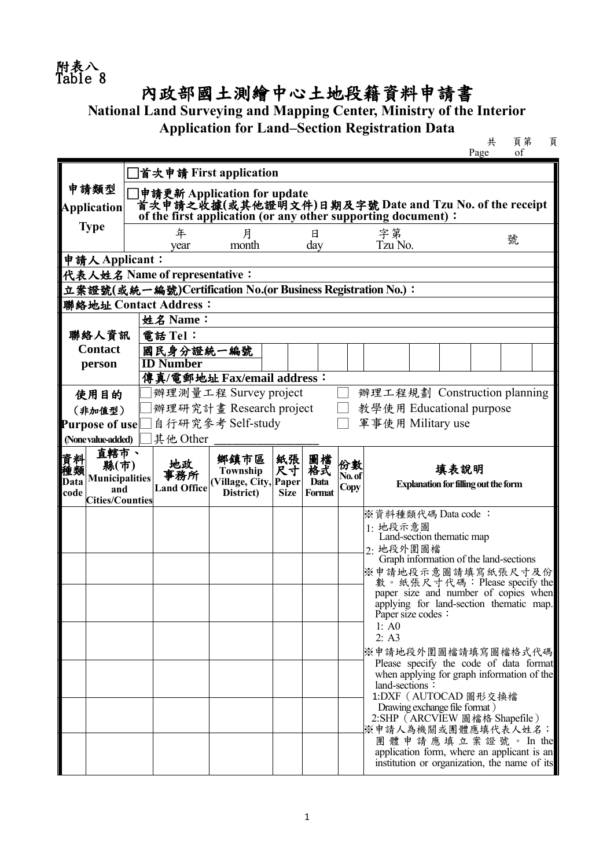## 內政部國土測繪中心土地段籍資料申請書

**National Land Surveying and Mapping Center, Ministry of the Interior**

**Application for Land‒Section Registration Data**

共 頁第 頁  $\begin{array}{c}\n\text{\#} \\
\text{Page}\n\end{array}$ 

|       |                                                             |  |                                                              | 首次申請 First application     |             |        |              |                                                                 |  |  |  |  |  |  |  |
|-------|-------------------------------------------------------------|--|--------------------------------------------------------------|----------------------------|-------------|--------|--------------|-----------------------------------------------------------------|--|--|--|--|--|--|--|
|       | 申請類型                                                        |  | 申請更新 Application for update                                  |                            |             |        |              |                                                                 |  |  |  |  |  |  |  |
|       | <b>Application</b>                                          |  |                                                              |                            |             |        |              | 首次申請之收據(或其他證明文件)日期及字號Date and Tzu No. of the receipt            |  |  |  |  |  |  |  |
|       | <b>Type</b>                                                 |  | of the first application (or any other supporting document): |                            |             |        |              |                                                                 |  |  |  |  |  |  |  |
|       |                                                             |  | 年                                                            | 月                          |             | 日      |              | 字第<br>號<br>Tzu No.                                              |  |  |  |  |  |  |  |
|       | month<br>day<br>year                                        |  |                                                              |                            |             |        |              |                                                                 |  |  |  |  |  |  |  |
|       | 申請人Applicant:<br>代表人姓名 Name of representative:              |  |                                                              |                            |             |        |              |                                                                 |  |  |  |  |  |  |  |
|       | 立案證號(或統一編號)Certification No.(or Business Registration No.): |  |                                                              |                            |             |        |              |                                                                 |  |  |  |  |  |  |  |
|       |                                                             |  | 聯絡地址 Contact Address:                                        |                            |             |        |              |                                                                 |  |  |  |  |  |  |  |
|       |                                                             |  | 姓名 Name:                                                     |                            |             |        |              |                                                                 |  |  |  |  |  |  |  |
| 聯絡人資訊 |                                                             |  | 電話 Tel:                                                      |                            |             |        |              |                                                                 |  |  |  |  |  |  |  |
|       | <b>Contact</b>                                              |  | 國民身分證統一編號                                                    |                            |             |        |              |                                                                 |  |  |  |  |  |  |  |
|       | person                                                      |  | <b>ID Number</b>                                             |                            |             |        |              |                                                                 |  |  |  |  |  |  |  |
|       |                                                             |  |                                                              | 傳真/電郵地址 Fax/email address: |             |        |              |                                                                 |  |  |  |  |  |  |  |
|       | 使用目的                                                        |  | 辦理測量工程 Survey project                                        |                            |             |        |              | 辦理工程規劃 Construction planning                                    |  |  |  |  |  |  |  |
|       | (非加值型)                                                      |  | 辦理研究計畫 Research project                                      |                            |             |        |              | 教學使用 Educational purpose                                        |  |  |  |  |  |  |  |
|       | Purpose of use                                              |  | 自行研究参考 Self-study<br>軍事使用 Military use                       |                            |             |        |              |                                                                 |  |  |  |  |  |  |  |
|       | (None value-added)                                          |  | 其他 Other                                                     |                            |             |        |              |                                                                 |  |  |  |  |  |  |  |
| 資料    | 直轄市、                                                        |  |                                                              | 鄉鎮市區                       | 紙張          | 圖檔     |              |                                                                 |  |  |  |  |  |  |  |
| 種類    | 縣(市)                                                        |  | 地政<br>事務所                                                    | Township                   | 尺寸          | 格式     | 份數<br>No. of | 填表說明                                                            |  |  |  |  |  |  |  |
| Data  | <b>Municipalities</b><br>and                                |  | <b>Land Office</b>                                           | (Village, City, Paper      |             | Data   | Copy         | <b>Explanation for filling out the form</b>                     |  |  |  |  |  |  |  |
| code  | <b>Cities/Counties</b>                                      |  |                                                              | District)                  | <b>Size</b> | Format |              |                                                                 |  |  |  |  |  |  |  |
|       |                                                             |  |                                                              |                            |             |        |              | ※資料種類代碼 Data code:                                              |  |  |  |  |  |  |  |
|       |                                                             |  |                                                              |                            |             |        |              | 1: 地段示意圖<br>Land-section thematic map                           |  |  |  |  |  |  |  |
|       |                                                             |  |                                                              |                            |             |        |              | 2: 地段外圍圖檔                                                       |  |  |  |  |  |  |  |
|       |                                                             |  |                                                              |                            |             |        |              | Graph information of the land-sections                          |  |  |  |  |  |  |  |
|       |                                                             |  |                                                              |                            |             |        |              | ※申請地段示意圖請填寫紙張尺寸及份<br>數。紙張尺寸代碼:Please specify the                |  |  |  |  |  |  |  |
|       |                                                             |  |                                                              |                            |             |        |              | paper size and number of copies when                            |  |  |  |  |  |  |  |
|       |                                                             |  |                                                              |                            |             |        |              | applying for land-section thematic map.<br>Paper size codes:    |  |  |  |  |  |  |  |
|       |                                                             |  |                                                              |                            |             |        |              | 1: A0                                                           |  |  |  |  |  |  |  |
|       |                                                             |  |                                                              |                            |             |        |              | 2: A3                                                           |  |  |  |  |  |  |  |
|       |                                                             |  |                                                              |                            |             |        |              |                                                                 |  |  |  |  |  |  |  |
|       |                                                             |  |                                                              |                            |             |        |              | ※申請地段外圍圖檔請填寫圖檔格式代碼                                              |  |  |  |  |  |  |  |
|       |                                                             |  |                                                              |                            |             |        |              | Please specify the code of data format                          |  |  |  |  |  |  |  |
|       |                                                             |  |                                                              |                            |             |        |              | when applying for graph information of the<br>land-sections:    |  |  |  |  |  |  |  |
|       |                                                             |  |                                                              |                            |             |        |              | 1:DXF (AUTOCAD 圖形交換檔                                            |  |  |  |  |  |  |  |
|       |                                                             |  |                                                              |                            |             |        |              | Drawing exchange file format)                                   |  |  |  |  |  |  |  |
|       |                                                             |  |                                                              |                            |             |        |              | 2:SHP (ARCVIEW 圖檔格 Shapefile)<br>※申請人為機關或團體應填代表人姓名              |  |  |  |  |  |  |  |
|       |                                                             |  |                                                              |                            |             |        |              | 團體申請應填立案證號。In the<br>application form, where an applicant is an |  |  |  |  |  |  |  |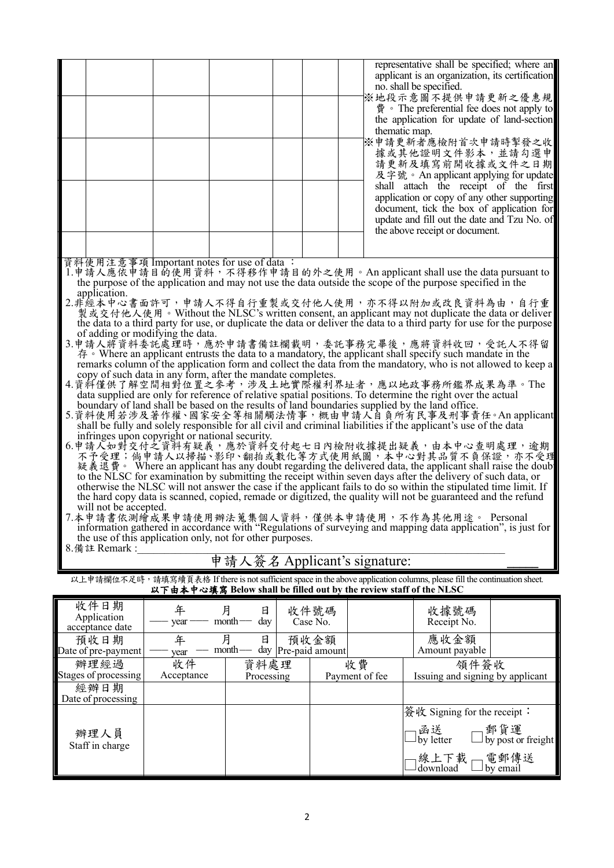|                                                                                                                                                                                                                                                                                                                                                                                                                                                                                                                                                                                                                                                                                                                                                                                                                                                                                                                                                                                                                                                                                                                                                                                                                                                                                                                                                                                                                                                                                                                                                                                                                                                                                                                                                                                                                                                                                                                                                                                                                                                                                                                                                                                                                                                                                                                                      |  |            |                            |  |                               |                | representative shall be specified; where an<br>applicant is an organization, its certification<br>no. shall be specified.<br> ※地段示意圖不提供申請更新之優惠規 <br>費 • The preferential fee does not apply to<br>the application for update of land-section<br>thematic map.<br> ※申請更新者應檢附首次申請時掣發之收 <br>據或其他證明文件影本,並請勾選申<br>請更新及填寫前開收據或文件之日期 <br>及字號。An applicant applying for update<br>shall attach the receipt of the first<br>application or copy of any other supporting<br>document, tick the box of application for<br>update and fill out the date and Tzu No. of |  |
|--------------------------------------------------------------------------------------------------------------------------------------------------------------------------------------------------------------------------------------------------------------------------------------------------------------------------------------------------------------------------------------------------------------------------------------------------------------------------------------------------------------------------------------------------------------------------------------------------------------------------------------------------------------------------------------------------------------------------------------------------------------------------------------------------------------------------------------------------------------------------------------------------------------------------------------------------------------------------------------------------------------------------------------------------------------------------------------------------------------------------------------------------------------------------------------------------------------------------------------------------------------------------------------------------------------------------------------------------------------------------------------------------------------------------------------------------------------------------------------------------------------------------------------------------------------------------------------------------------------------------------------------------------------------------------------------------------------------------------------------------------------------------------------------------------------------------------------------------------------------------------------------------------------------------------------------------------------------------------------------------------------------------------------------------------------------------------------------------------------------------------------------------------------------------------------------------------------------------------------------------------------------------------------------------------------------------------------|--|------------|----------------------------|--|-------------------------------|----------------|------------------------------------------------------------------------------------------------------------------------------------------------------------------------------------------------------------------------------------------------------------------------------------------------------------------------------------------------------------------------------------------------------------------------------------------------------------------------------------------------------------------------------------------------------------|--|
|                                                                                                                                                                                                                                                                                                                                                                                                                                                                                                                                                                                                                                                                                                                                                                                                                                                                                                                                                                                                                                                                                                                                                                                                                                                                                                                                                                                                                                                                                                                                                                                                                                                                                                                                                                                                                                                                                                                                                                                                                                                                                                                                                                                                                                                                                                                                      |  |            |                            |  |                               |                |                                                                                                                                                                                                                                                                                                                                                                                                                                                                                                                                                            |  |
| the above receipt or document.<br>資料使用注意事項 Important notes for use of data :<br>1.申請人應依申請目的使用資料,不得移作申請目的外之使用。An applicant shall use the data pursuant to<br>the purpose of the application and may not use the data outside the scope of the purpose specified in the<br>application.<br>2.非經本中心書面許可,申請人不得自行重製或交付他人使用,亦不得以附加或改良資料為由,自行重<br>製或交付他人使用。Without the NLSC's written consent, an applicant may not duplicate the data or deliver<br>the data to a third party for use, or duplicate the data or deliver the data to a third party for use for the purpose<br>of adding or modifying the data.<br>3.申請人將資料委託處理時,應於申請書備註欄載明,委託事務完畢後,應將資料收回,受託人不得留<br>存 • Where an applicant entrusts the data to a mandatory, the applicant shall specify such mandate in the<br>remarks column of the application form and collect the data from the mandatory, who is not allowed to keep a<br>copy of such data in any form, after the mandate completes.<br>4.資料僅供了解空間相對位置之參考,涉及土地實際權利界址者,應以地政事務所鑑界成果為準。The<br>data supplied are only for reference of relative spatial positions. To determine the right over the actual<br>boundary of land shall be based on the results of land boundaries supplied by the land office.<br>5.資料使用若涉及著作權、國家安全等相關觸法情事,概由申請人自負所有民事及刑事責任。An applicant<br>shall be fully and solely responsible for all civil and criminal liabilities if the applicant's use of the data<br>infringes upon copyright or national security.<br>6.申請人如對交付之資料有疑義,應於資料交付起七日內檢附收據提出疑義,由本中心查明處理,逾期<br>不予受理;倘申請人以掃描、影印、翻拍或數化等方式使用紙圖,本中心對其品質不負保證,亦不受理<br>疑義退費。 Where an applicant has any doubt regarding the delivered data, the applicant shall raise the doub<br>to the NLSC for examination by submitting the receipt within seven days after the delivery of such data, or<br>otherwise the NLSC will not answer the case if the applicant fails to do so within the stipulated time limit. If<br>the hard copy data is scanned, copied, remade or digitized, the quality will not be guaranteed and the refund<br>will not be accepted.<br>7.本申請書依測繪成果申請使用辦法蒐集個人資料,僅供本申請使用,不作為其他用途。 Personal<br>information gathered in accordance with "Regulations of surveying and mapping data application", is just for<br>the use of this application only, not for other purposes.<br>8. 備註 Remark:<br>申請人簽名 Applicant's signature: |  |            |                            |  |                               |                |                                                                                                                                                                                                                                                                                                                                                                                                                                                                                                                                                            |  |
| 以上申請欄位不足時,請填寫續頁表格 If there is not sufficient space in the above application columns, please fill the continuation sheet.                                                                                                                                                                                                                                                                                                                                                                                                                                                                                                                                                                                                                                                                                                                                                                                                                                                                                                                                                                                                                                                                                                                                                                                                                                                                                                                                                                                                                                                                                                                                                                                                                                                                                                                                                                                                                                                                                                                                                                                                                                                                                                                                                                                                             |  |            |                            |  |                               |                |                                                                                                                                                                                                                                                                                                                                                                                                                                                                                                                                                            |  |
| 以下由本中心填寫 Below shall be filled out by the review staff of the NLSC                                                                                                                                                                                                                                                                                                                                                                                                                                                                                                                                                                                                                                                                                                                                                                                                                                                                                                                                                                                                                                                                                                                                                                                                                                                                                                                                                                                                                                                                                                                                                                                                                                                                                                                                                                                                                                                                                                                                                                                                                                                                                                                                                                                                                                                                   |  |            |                            |  |                               |                |                                                                                                                                                                                                                                                                                                                                                                                                                                                                                                                                                            |  |
| 收件日期<br>Application<br>acceptance date                                                                                                                                                                                                                                                                                                                                                                                                                                                                                                                                                                                                                                                                                                                                                                                                                                                                                                                                                                                                                                                                                                                                                                                                                                                                                                                                                                                                                                                                                                                                                                                                                                                                                                                                                                                                                                                                                                                                                                                                                                                                                                                                                                                                                                                                                               |  | 年<br>year  | 月<br>日<br>$month$ —<br>day |  | 收件號碼<br>Case No.              |                | 收據號碼<br>Receipt No.                                                                                                                                                                                                                                                                                                                                                                                                                                                                                                                                        |  |
| 預收日期<br>Date of pre-payment                                                                                                                                                                                                                                                                                                                                                                                                                                                                                                                                                                                                                                                                                                                                                                                                                                                                                                                                                                                                                                                                                                                                                                                                                                                                                                                                                                                                                                                                                                                                                                                                                                                                                                                                                                                                                                                                                                                                                                                                                                                                                                                                                                                                                                                                                                          |  | 年          | 月<br>日<br>$month$ —        |  | 預收金額<br>day   Pre-paid amount |                | 應收金額<br>Amount payable                                                                                                                                                                                                                                                                                                                                                                                                                                                                                                                                     |  |
| 辦理經過                                                                                                                                                                                                                                                                                                                                                                                                                                                                                                                                                                                                                                                                                                                                                                                                                                                                                                                                                                                                                                                                                                                                                                                                                                                                                                                                                                                                                                                                                                                                                                                                                                                                                                                                                                                                                                                                                                                                                                                                                                                                                                                                                                                                                                                                                                                                 |  | year<br>收件 | 資料處理                       |  |                               | 收費             | 領件簽收                                                                                                                                                                                                                                                                                                                                                                                                                                                                                                                                                       |  |
| Stages of processing                                                                                                                                                                                                                                                                                                                                                                                                                                                                                                                                                                                                                                                                                                                                                                                                                                                                                                                                                                                                                                                                                                                                                                                                                                                                                                                                                                                                                                                                                                                                                                                                                                                                                                                                                                                                                                                                                                                                                                                                                                                                                                                                                                                                                                                                                                                 |  | Acceptance | Processing                 |  |                               | Payment of fee | Issuing and signing by applicant                                                                                                                                                                                                                                                                                                                                                                                                                                                                                                                           |  |
| 經辦日期<br>Date of processing                                                                                                                                                                                                                                                                                                                                                                                                                                                                                                                                                                                                                                                                                                                                                                                                                                                                                                                                                                                                                                                                                                                                                                                                                                                                                                                                                                                                                                                                                                                                                                                                                                                                                                                                                                                                                                                                                                                                                                                                                                                                                                                                                                                                                                                                                                           |  |            |                            |  |                               |                |                                                                                                                                                                                                                                                                                                                                                                                                                                                                                                                                                            |  |
|                                                                                                                                                                                                                                                                                                                                                                                                                                                                                                                                                                                                                                                                                                                                                                                                                                                                                                                                                                                                                                                                                                                                                                                                                                                                                                                                                                                                                                                                                                                                                                                                                                                                                                                                                                                                                                                                                                                                                                                                                                                                                                                                                                                                                                                                                                                                      |  |            |                            |  |                               |                | 签收 Signing for the receint:                                                                                                                                                                                                                                                                                                                                                                                                                                                                                                                                |  |